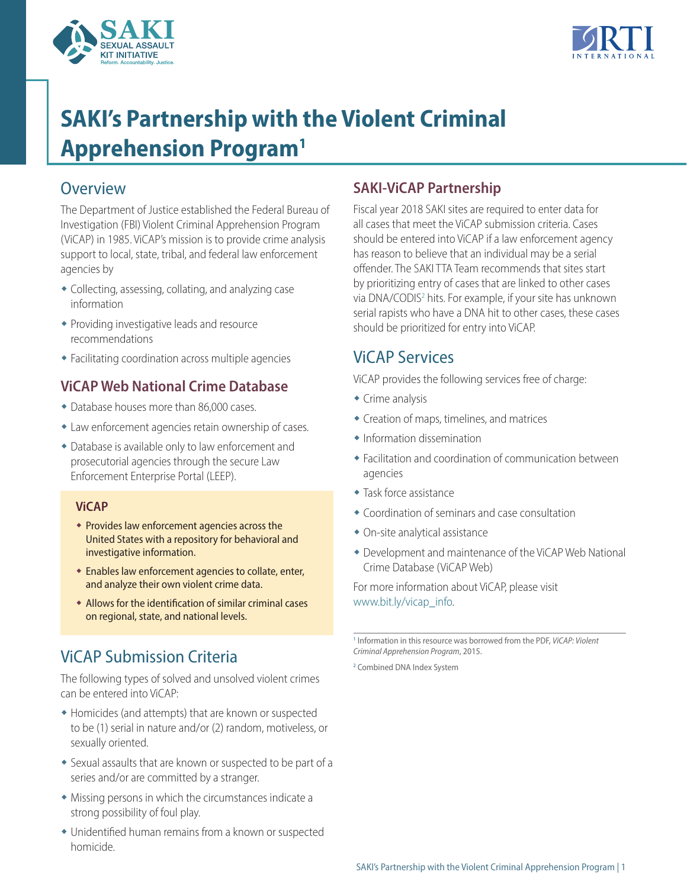



# <span id="page-0-2"></span>**SAKI's Partnership with the Violent Criminal Apprehension Progra[m1](#page-0-0)**

### **Overview**

The Department of Justice established the Federal Bureau of Investigation (FBI) Violent Criminal Apprehension Program (ViCAP) in 1985. ViCAP's mission is to provide crime analysis support to local, state, tribal, and federal law enforcement agencies by

- <span id="page-0-3"></span>• Collecting, assessing, collating, and analyzing case information
- $\bullet$  Providing investigative leads and resource recommendations
- Facilitating coordination across multiple agencies

#### **ViCAP Web National Crime Database**

- Database houses more than 86,000 cases.
- Law enforcement agencies retain ownership of cases.
- Database is available only to law enforcement and prosecutorial agencies through the secure Law Enforcement Enterprise Portal (LEEP).

#### **ViCAP**

- $\bullet$  Provides law enforcement agencies across the United States with a repository for behavioral and investigative information.
- $\bullet$  Enables law enforcement agencies to collate, enter, and analyze their own violent crime data.
- Allows for the identification of similar criminal cases on regional, state, and national levels.

## <span id="page-0-1"></span><span id="page-0-0"></span>ViCAP Submission Criteria

The following types of solved and unsolved violent crimes can be entered into ViCAP:

- Homicides (and attempts) that are known or suspected to be (1) serial in nature and/or (2) random, motiveless, or sexually oriented.
- Sexual assaults that are known or suspected to be part of a series and/or are committed by a stranger.
- $\bullet$  Missing persons in which the circumstances indicate a strong possibility of foul play.
- Unidentified human remains from a known or suspected homicide.

### **SAKI-ViCAP Partnership**

Fiscal year 2018 SAKI sites are required to enter data for all cases that meet the ViCAP submission criteria. Cases should be entered into ViCAP if a law enforcement agency has reason to believe that an individual may be a serial offender. The SAKI TTA Team recommends that sites start by prioritizing entry of cases that are linked to other cases via DNA/CODIS[2](#page-0-1) hits. For example, if your site has unknown serial rapists who have a DNA hit to other cases, these cases should be prioritized for entry into ViCAP.

### ViCAP Services

ViCAP provides the following services free of charge:

- $\triangleleft$  Crime analysis
- Creation of maps, timelines, and matrices
- $\triangleq$  Information dissemination
- Facilitation and coordination of communication between agencies
- $\bullet$  Task force assistance
- $\bullet$  Coordination of seminars and case consultation
- $\bullet$  On-site analytical assistance
- Development and maintenance of the ViCAP Web National Crime Database (ViCAP Web)

For more information about ViCAP, please visit [www.bit.ly/vicap\\_info](https://www.bit.ly/vicap_info).

[1](#page-0-2) Information in this resource was borrowed from the PDF, *ViCAP: Violent Criminal Apprehension Program*, 2015.

[2](#page-0-3) Combined DNA Index System